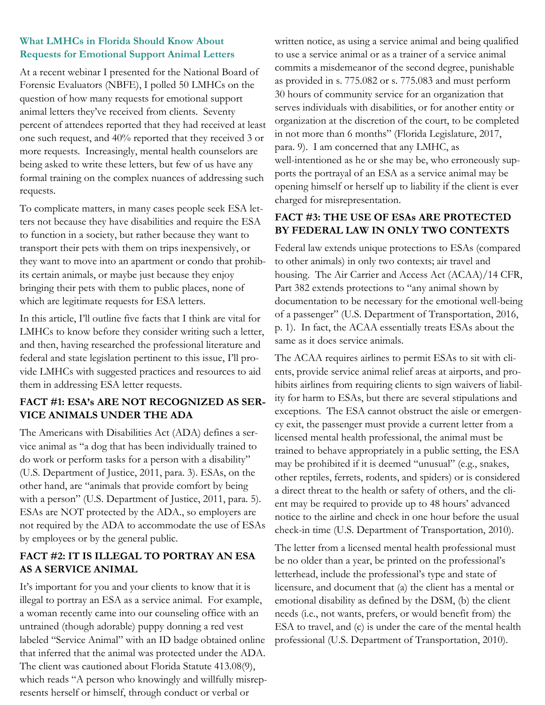### **What LMHCs in Florida Should Know About Requests for Emotional Support Animal Letters**

At a recent webinar I presented for the National Board of Forensic Evaluators (NBFE), I polled 50 LMHCs on the question of how many requests for emotional support animal letters they've received from clients. Seventy percent of attendees reported that they had received at least one such request, and 40% reported that they received 3 or more requests. Increasingly, mental health counselors are being asked to write these letters, but few of us have any formal training on the complex nuances of addressing such requests.

To complicate matters, in many cases people seek ESA letters not because they have disabilities and require the ESA to function in a society, but rather because they want to transport their pets with them on trips inexpensively, or they want to move into an apartment or condo that prohibits certain animals, or maybe just because they enjoy bringing their pets with them to public places, none of which are legitimate requests for ESA letters.

In this article, I'll outline five facts that I think are vital for LMHCs to know before they consider writing such a letter, and then, having researched the professional literature and federal and state legislation pertinent to this issue, I'll provide LMHCs with suggested practices and resources to aid them in addressing ESA letter requests.

# **FACT #1: ESA's ARE NOT RECOGNIZED AS SER-VICE ANIMALS UNDER THE ADA**

The Americans with Disabilities Act (ADA) defines a service animal as "a dog that has been individually trained to do work or perform tasks for a person with a disability" (U.S. Department of Justice, 2011, para. 3). ESAs, on the other hand, are "animals that provide comfort by being with a person" (U.S. Department of Justice, 2011, para. 5). ESAs are NOT protected by the ADA., so employers are not required by the ADA to accommodate the use of ESAs by employees or by the general public.

# **FACT #2: IT IS ILLEGAL TO PORTRAY AN ESA AS A SERVICE ANIMAL**

It's important for you and your clients to know that it is illegal to portray an ESA as a service animal. For example, a woman recently came into our counseling office with an untrained (though adorable) puppy donning a red vest labeled "Service Animal" with an ID badge obtained online that inferred that the animal was protected under the ADA. The client was cautioned about Florida Statute 413.08(9), which reads "A person who knowingly and willfully misrepresents herself or himself, through conduct or verbal or

written notice, as using a service animal and being qualified to use a service animal or as a trainer of a service animal commits a misdemeanor of the second degree, punishable as provided in s. 775.082 or s. 775.083 and must perform 30 hours of community service for an organization that serves individuals with disabilities, or for another entity or organization at the discretion of the court, to be completed in not more than 6 months" (Florida Legislature, 2017, para. 9). I am concerned that any LMHC, as well-intentioned as he or she may be, who erroneously supports the portrayal of an ESA as a service animal may be opening himself or herself up to liability if the client is ever charged for misrepresentation.

### **FACT #3: THE USE OF ESAs ARE PROTECTED BY FEDERAL LAW IN ONLY TWO CONTEXTS**

Federal law extends unique protections to ESAs (compared to other animals) in only two contexts; air travel and housing. The Air Carrier and Access Act (ACAA)/14 CFR, Part 382 extends protections to "any animal shown by documentation to be necessary for the emotional well-being of a passenger" (U.S. Department of Transportation, 2016, p. 1). In fact, the ACAA essentially treats ESAs about the same as it does service animals.

The ACAA requires airlines to permit ESAs to sit with clients, provide service animal relief areas at airports, and prohibits airlines from requiring clients to sign waivers of liability for harm to ESAs, but there are several stipulations and exceptions. The ESA cannot obstruct the aisle or emergency exit, the passenger must provide a current letter from a licensed mental health professional, the animal must be trained to behave appropriately in a public setting, the ESA may be prohibited if it is deemed "unusual" (e.g., snakes, other reptiles, ferrets, rodents, and spiders) or is considered a direct threat to the health or safety of others, and the client may be required to provide up to 48 hours' advanced notice to the airline and check in one hour before the usual check-in time (U.S. Department of Transportation, 2010).

The letter from a licensed mental health professional must be no older than a year, be printed on the professional's letterhead, include the professional's type and state of licensure, and document that (a) the client has a mental or emotional disability as defined by the DSM, (b) the client needs (i.e., not wants, prefers, or would benefit from) the ESA to travel, and (c) is under the care of the mental health professional (U.S. Department of Transportation, 2010).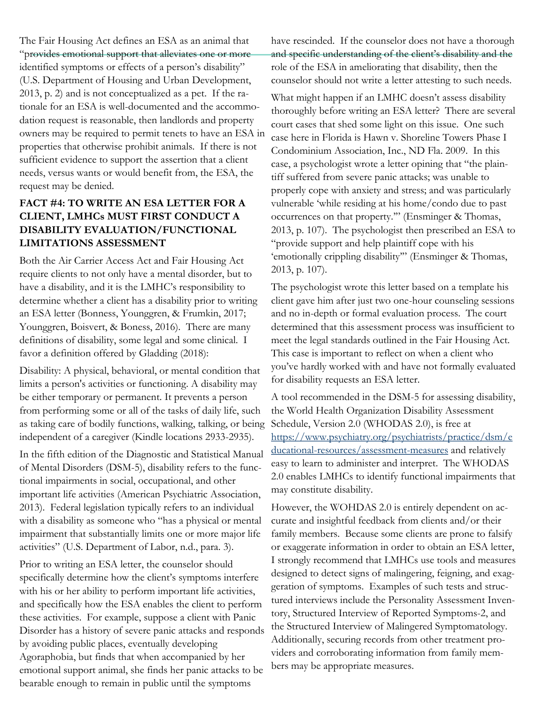The Fair Housing Act defines an ESA as an animal that "provides emotional support that alleviates one or more identified symptoms or effects of a person's disability" (U.S. Department of Housing and Urban Development, 2013, p. 2) and is not conceptualized as a pet. If the rationale for an ESA is well-documented and the accommodation request is reasonable, then landlords and property owners may be required to permit tenets to have an ESA in properties that otherwise prohibit animals. If there is not sufficient evidence to support the assertion that a client needs, versus wants or would benefit from, the ESA, the request may be denied.

# **FACT #4: TO WRITE AN ESA LETTER FOR A CLIENT, LMHCs MUST FIRST CONDUCT A DISABILITY EVALUATION/FUNCTIONAL LIMITATIONS ASSESSMENT**

Both the Air Carrier Access Act and Fair Housing Act require clients to not only have a mental disorder, but to have a disability, and it is the LMHC's responsibility to determine whether a client has a disability prior to writing an ESA letter (Bonness, Younggren, & Frumkin, 2017; Younggren, Boisvert, & Boness, 2016). There are many definitions of disability, some legal and some clinical. I favor a definition offered by Gladding (2018):

Disability: A physical, behavioral, or mental condition that limits a person's activities or functioning. A disability may be either temporary or permanent. It prevents a person from performing some or all of the tasks of daily life, such as taking care of bodily functions, walking, talking, or being independent of a caregiver (Kindle locations 2933-2935).

In the fifth edition of the Diagnostic and Statistical Manual of Mental Disorders (DSM-5), disability refers to the functional impairments in social, occupational, and other important life activities (American Psychiatric Association, 2013). Federal legislation typically refers to an individual with a disability as someone who "has a physical or mental impairment that substantially limits one or more major life activities" (U.S. Department of Labor, n.d., para. 3).

Prior to writing an ESA letter, the counselor should specifically determine how the client's symptoms interfere with his or her ability to perform important life activities, and specifically how the ESA enables the client to perform these activities. For example, suppose a client with Panic Disorder has a history of severe panic attacks and responds by avoiding public places, eventually developing Agoraphobia, but finds that when accompanied by her emotional support animal, she finds her panic attacks to be bearable enough to remain in public until the symptoms

have rescinded. If the counselor does not have a thorough and specific understanding of the client's disability and the role of the ESA in ameliorating that disability, then the counselor should not write a letter attesting to such needs.

What might happen if an LMHC doesn't assess disability thoroughly before writing an ESA letter? There are several court cases that shed some light on this issue. One such case here in Florida is Hawn v. Shoreline Towers Phase I Condominium Association, Inc., ND Fla. 2009. In this case, a psychologist wrote a letter opining that "the plaintiff suffered from severe panic attacks; was unable to properly cope with anxiety and stress; and was particularly vulnerable 'while residing at his home/condo due to past occurrences on that property.'" (Ensminger & Thomas, 2013, p. 107). The psychologist then prescribed an ESA to "provide support and help plaintiff cope with his 'emotionally crippling disability'" (Ensminger & Thomas, 2013, p. 107).

The psychologist wrote this letter based on a template his client gave him after just two one-hour counseling sessions and no in-depth or formal evaluation process. The court determined that this assessment process was insufficient to meet the legal standards outlined in the Fair Housing Act. This case is important to reflect on when a client who you've hardly worked with and have not formally evaluated for disability requests an ESA letter.

A tool recommended in the DSM-5 for assessing disability, the World Health Organization Disability Assessment Schedule, Version 2.0 (WHODAS 2.0), is free at [https://www.psychiatry.org/psychiatrists/practice/dsm/e](https://www.psychiatry.org/psychiatrists/practice/dsm/educational-resources/assessment-measures) [ducational-resources/assessment-measures](https://www.psychiatry.org/psychiatrists/practice/dsm/educational-resources/assessment-measures) and relatively easy to learn to administer and interpret. The WHODAS 2.0 enables LMHCs to identify functional impairments that may constitute disability.

However, the WOHDAS 2.0 is entirely dependent on accurate and insightful feedback from clients and/or their family members. Because some clients are prone to falsify or exaggerate information in order to obtain an ESA letter, I strongly recommend that LMHCs use tools and measures designed to detect signs of malingering, feigning, and exaggeration of symptoms. Examples of such tests and structured interviews include the Personality Assessment Inventory, Structured Interview of Reported Symptoms-2, and the Structured Interview of Malingered Symptomatology. Additionally, securing records from other treatment providers and corroborating information from family members may be appropriate measures.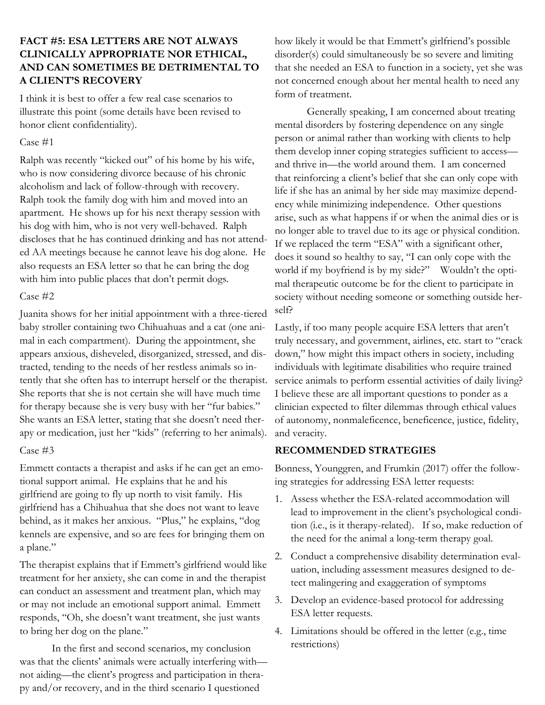# **FACT #5: ESA LETTERS ARE NOT ALWAYS CLINICALLY APPROPRIATE NOR ETHICAL, AND CAN SOMETIMES BE DETRIMENTAL TO A CLIENT'S RECOVERY**

I think it is best to offer a few real case scenarios to illustrate this point (some details have been revised to honor client confidentiality).

### Case #1

Ralph was recently "kicked out" of his home by his wife, who is now considering divorce because of his chronic alcoholism and lack of follow-through with recovery. Ralph took the family dog with him and moved into an apartment. He shows up for his next therapy session with his dog with him, who is not very well-behaved. Ralph discloses that he has continued drinking and has not attended AA meetings because he cannot leave his dog alone. He also requests an ESA letter so that he can bring the dog with him into public places that don't permit dogs.

### Case #2

Juanita shows for her initial appointment with a three-tiered baby stroller containing two Chihuahuas and a cat (one animal in each compartment). During the appointment, she appears anxious, disheveled, disorganized, stressed, and distracted, tending to the needs of her restless animals so intently that she often has to interrupt herself or the therapist. She reports that she is not certain she will have much time for therapy because she is very busy with her "fur babies." She wants an ESA letter, stating that she doesn't need therapy or medication, just her "kids" (referring to her animals).

### Case #3

Emmett contacts a therapist and asks if he can get an emotional support animal. He explains that he and his girlfriend are going to fly up north to visit family. His girlfriend has a Chihuahua that she does not want to leave behind, as it makes her anxious. "Plus," he explains, "dog kennels are expensive, and so are fees for bringing them on a plane."

The therapist explains that if Emmett's girlfriend would like treatment for her anxiety, she can come in and the therapist can conduct an assessment and treatment plan, which may or may not include an emotional support animal. Emmett responds, "Oh, she doesn't want treatment, she just wants to bring her dog on the plane."

In the first and second scenarios, my conclusion was that the clients' animals were actually interfering with not aiding—the client's progress and participation in therapy and/or recovery, and in the third scenario I questioned

how likely it would be that Emmett's girlfriend's possible disorder(s) could simultaneously be so severe and limiting that she needed an ESA to function in a society, yet she was not concerned enough about her mental health to need any form of treatment.

Generally speaking, I am concerned about treating mental disorders by fostering dependence on any single person or animal rather than working with clients to help them develop inner coping strategies sufficient to access and thrive in—the world around them. I am concerned that reinforcing a client's belief that she can only cope with life if she has an animal by her side may maximize dependency while minimizing independence. Other questions arise, such as what happens if or when the animal dies or is no longer able to travel due to its age or physical condition. If we replaced the term "ESA" with a significant other, does it sound so healthy to say, "I can only cope with the world if my boyfriend is by my side?" Wouldn't the optimal therapeutic outcome be for the client to participate in society without needing someone or something outside herself?

Lastly, if too many people acquire ESA letters that aren't truly necessary, and government, airlines, etc. start to "crack down," how might this impact others in society, including individuals with legitimate disabilities who require trained service animals to perform essential activities of daily living? I believe these are all important questions to ponder as a clinician expected to filter dilemmas through ethical values of autonomy, nonmaleficence, beneficence, justice, fidelity, and veracity.

# **RECOMMENDED STRATEGIES**

Bonness, Younggren, and Frumkin (2017) offer the following strategies for addressing ESA letter requests:

- 1. Assess whether the ESA-related accommodation will lead to improvement in the client's psychological condition (i.e., is it therapy-related). If so, make reduction of the need for the animal a long-term therapy goal.
- 2. Conduct a comprehensive disability determination evaluation, including assessment measures designed to detect malingering and exaggeration of symptoms
- 3. Develop an evidence-based protocol for addressing ESA letter requests.
- 4. Limitations should be offered in the letter (e.g., time restrictions)